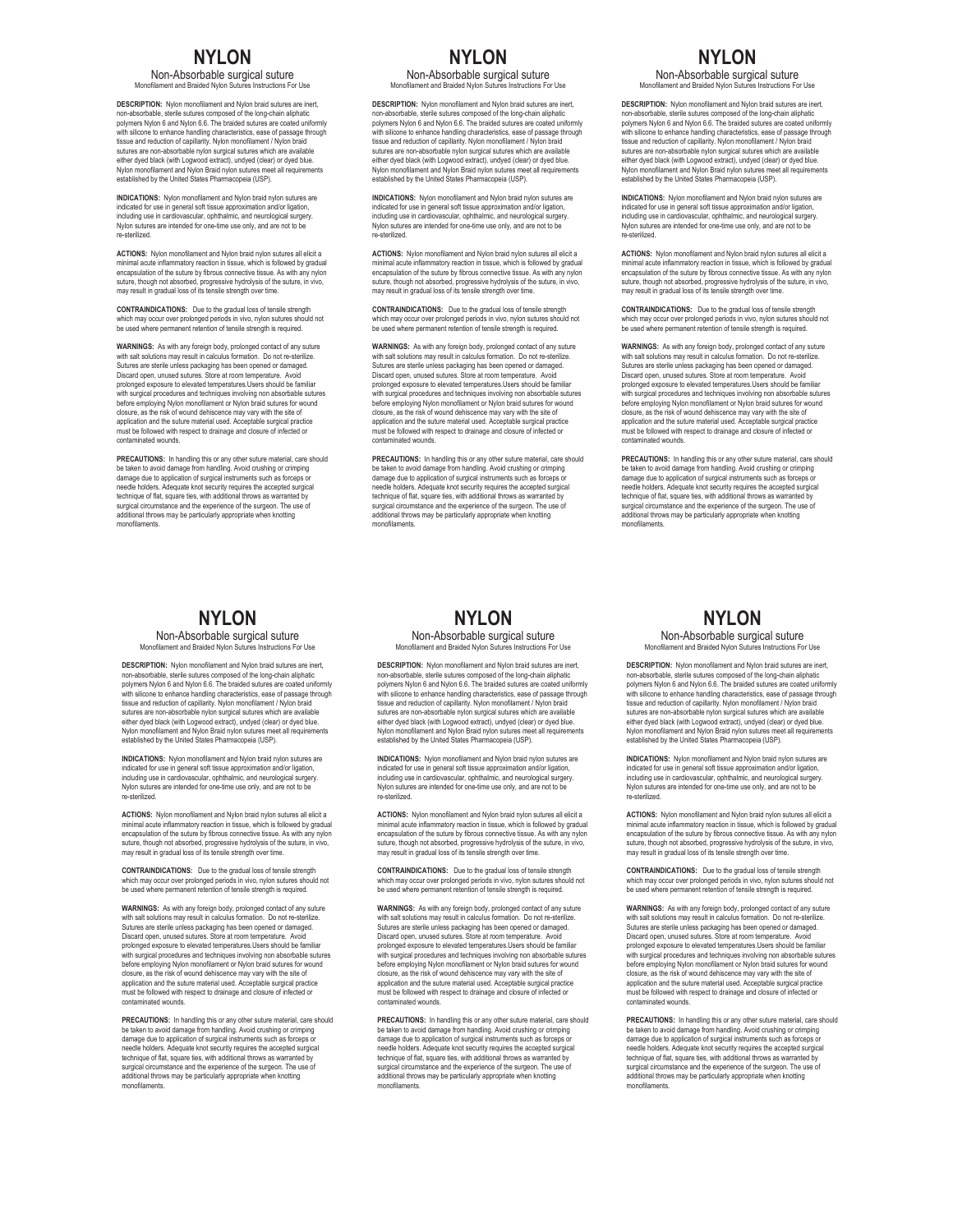### **NYLON**

Non-Absorbable surgical suture Monofilament and Braided Nylon Sutures Instructions For Use

**DESCRIPTION:** Nylon monofilament and Nylon braid sutures are inert, non-absorbable, sterile sutures composed of the long-chain aliphatic polymers Nylon 6 and Nylon 6.6. The braided sutures are coated uniformly with silicone to enhance handling characteristics, ease of passage through tissue and reduction of capillarity. Nylon monofilament / Nylon braid sutures are non-absorbable nylon surgical sutures which are available<br>either dyed black (with Logwood extract), undyed (clear) or dyed blue.<br>Nylon monofilament and Nylon Braid nylon sutures meet all requirements established by the United States Pharmacopeia (USP).

**INDICATIONS:** Nylon monofilament and Nylon braid nylon sutures are indicated for use in general soft tissue approximation and/or ligation, including use in cardiovascular, ophthalmic, and neurological surgery. Nylon sutures are intended for one-time use only, and are not to be re-sterilized.

**ACTIONS:** Nylon monofilament and Nylon braid nylon sutures all elicit a<br>minimal acute inflammatory reaction in tissue, which is followed by gradual<br>encapsulation of the suture by fibrous connective tissue. As with any nyl suture, though not absorbed, progressive hydrolysis of the suture, in vivo, may result in gradual loss of its tensile strength over time.

**CONTRAINDICATIONS:** Due to the gradual loss of tensile strength which may occur over prolonged periods in vivo, nylon sutures should not be used where permanent retention of tensile strength is required.

**WARNINGS:** As with any foreign body, prolonged contact of any suture<br>with salt solutions may result in calculus formation. Do not re-sterilize.<br>Sutures are sterile unless packaging has been opened or damaged.<br>Discard open prolonged exposure to elevated temperatures.Users should be familiar<br>with surgical procedures and techniques involving non absorbable sutures<br>before employing Nylon monofilament or Nylon braid sutures for wound<br>before empl application and the suture material used. Acceptable surgical practice must be followed with respect to drainage and closure of infected or contaminated wounds.

**PRECAUTIONS:** In handling this or any other suture material, care should be taken to avoid damage from handling. Avoid crushing or crimping damage due to application of surgical instruments such as forceps or needle holders. Adequate knot security requires the accepted surgical technique of flat, square ties, with additional throws as warranted by surgical circumstance and the experience of the surgeon. The use of additional throws may be particularly appropriate when knotting monofilaments.

## **NYLON**

Non-Absorbable surgical suture<br>Monofilament and Braided Nylon Sutures Instructions Fo ment and Braided Nylon Sutures Instructions For Use

**DESCRIPTION:** Nylon monofilament and Nylon braid sutures are inert, non-absorbable, sterile sutures composed of the long-chain aliphatic polymers Nylon 6 and Nylon 6.6. The braided sutures are coated uniformly<br>with silicone to enhance handling characteristics, ease of passage through<br>tissue and reduction of capillarity. Nylon monofilament / Nylon braid sutures are non-absorbable nylon surgical sutures which are available<br>either dyed black (with Logwood extract), undyed (clear) or dyed blue.<br>Nylon monofilament and Nylon Braid nylon sutures meet all requirements<br>establishe

**INDICATIONS:** Nylon monofilament and Nylon braid nylon sutures are indicated for use in general soft tissue approximation and/or ligation, including use in cardiovascular, ophthalmic, and neurological surgery. Nylon sutures are intended for one-time use only, and are not to b re-sterilized.

**ACTIONS:** Nylon monofilament and Nylon braid nylon sutures all elicit a minimal acute inflammatory reaction in tissue, which is followed by gradual<br>encapsulation of the suture by fibrous connective tissue. As with any nylon<br>suture, though not absorbed, progressive hydrolysis of the suture, in

**CONTRAINDICATIONS:** Due to the gradual loss of tensile strength which may occur over prolonged periods in vivo, nylon sutures should not be used where permanent retention of tensile strength is required.

**WARNINGS:** As with any foreign body, prolonged contact of any suture with salt solutions may result in calculus formation. Do not re-sterilize. Sutures are sterile unless packaging has been opened or damaged. Discard open, unused sutures. Store at room temperature. Avoid prolonged exposure to elevated temperatures.Users should be familiar with surgical procedures and techniques involving non absorbable sutures before employing Nylon monofilament or Nylon braid sutures for wound closure, as the risk of wound dehiscence may vary with the site of application and the suture material used. Acceptable surgical practice must be followed with respect to drainage and closure of infected or contains wound<br>Install

**PRECAUTIONS:** In handling this or any other suture material, care should be taken to avoid damage from handling. Avoid crushing or crimping damage due to application of surgical instruments such as forceps or needle holders. Adequate knot security requires the accepted surgical technique of flat, square ties, with additional throws as warranted by surgical circumstance and the experience of the surgeon. The use of additional throws may be particularly appropriate when knotting monofilaments.

# **NYLON**

Non-Absorbable surgical suture Monofilament and Braided Nylon Sutures Instructions For Use

**DESCRIPTION:** Nylon monofilament and Nylon braid sutures are inert, non-absorbable, sterile sutures composed of the long-chain aliphatic polymers Nylon 6 and Nylon 6.6. The braided sutures are coated uniformly with silicone to enhance handling characteristics, ease of passage through tissue and reduction of capillarity. Nylon monofilament / Nylon braid sutures are non-absorbable nylon surgical sutures which are available either dyed black (with Logwood extract), undyed (clear) or dyed blue. Nylon monofilament and Nylon Braid nylon sutures meet all requirements established by the United States Pharmacopeia (USP).

**INDICATIONS:** Nylon monofilament and Nylon braid nylon sutures are indicated for use in general soft tissue approximation and/or ligation,<br>including use in cardiovascular, ophthalmic, and neurological surgery.<br>Nylon sutures are intended for one-time use only, and are not to be<br>re-steriliz

**ACTIONS:** Nylon monofilament and Nylon braid nylon sutures all elicit a<br>minimal acute inflammatory reaction in tissue, which is followed by gradual<br>encapsulation of the suture by fibrous connective tissue. As with any nyl suture, though not absorbed, progressive hydrolysis of the suture, in vivo, may result in gradual loss of its tensile strength over time.

**CONTRAINDICATIONS:** Due to the gradual loss of tensile strength which may occur over prolonged periods in vivo, nylon sutures should not be used where permanent retention of tensile strength is required.

**WARNINGS:** As with any foreign body, prolonged contact of any suture<br>with salt solutions may result in calculus formation. Do not re-sterilize.<br>Sutures are sterile unless packaging has been opened or damaged.<br>Discard open prolonged exposure to elevated temperatures.Users should be familiar<br>with surgical procedures and techniques involving non absorbable sutures<br>before employing Nylon monofilament or Nylon braid sutures for wound closure, as the risk of wound dehiscence may vary with the site of<br>application and the suture material used. Acceptable surgical practice<br>must be followed with respect to drainage and closure of infected or<br>contaminated wo

**PRECAUTIONS:** In handling this or any other suture material, care should be taken to avoid damage from handling. Avoid crushing or crimping damage due to application of surgical instruments such as forceps or needle holders. Adequate knot security requires the accepted surgical technique of flat, square ties, with additional throws as warranted by surgical circumstance and the experience of the surgeon. The use of additional throws may be particularly appropriate when knotting monofilame

#### **NYLON**

Non-Absorbable surgical suture Monofilament and Braided Nylon Sutures Instructions For Use

**DESCRIPTION:** Nylon monofilament and Nylon braid sutures are inert, non-absorbable, sterile sutures composed of the long-chain aliphatic polymers Nylon 6 and Nylon 6.6. The braided sutures are coated uniformly with silicone to enhance handling characteristics, ease of passage through tissue and reduction of capillarity. Nylon monofilament / Nylon braid<br>sutures are non-absorbable nylon surgical sutures which are available<br>either dyed black (with Logwood extract), undyed (clear) or dyed blue.<br>Nylon monof established by the United States Pharmacopeia (USP).

**INDICATIONS:** Nylon monofilament and Nylon braid nylon sutures are indicated for use in general soft tissue approximation and/or ligation, including use in cardiovascular, ophthalmic, and neurological surgery. Nylon sutures are intended for one-time use only, and are not to be re-sterilized.

**ACTIONS:** Nylon monofilament and Nylon braid nylon sutures all elicit a<br>minimal acute inflammatory reaction in tissue, which is followed by gradual<br>encapsulation of the suture by fibrous connective tissue. As with any nyl suture, though not absorbed, progressive hydrolysis of the suture, in vivo, may result in gradual loss of its tensile strength over time.

**CONTRAINDICATIONS:** Due to the gradual loss of tensile strength<br>which may occur over prolonged periods in vivo invlop suffures should not which may occur over prolonged periods in vivo, nylon sutures should not be used where permanent retention of tensile strength is required.

**WARNINGS:** As with any foreign body, prolonged contact of any suture with salt solutions may result in calculus formation. Do not re-sterilize. Sutures are sterile unless packaging has been opened or damaged. Discard open, unused sutures. Store at room temperature. Avoid prolonged exposure to elevated temperatures.Users should be familiar<br>with surgical procedures and techniques involving non absorbable sutures<br>before employing Nylon monofilament or Nylon braid sutures for wound closure, as the risk of wound dehiscence may vary with the site of<br>application and the suture material used. Acceptable surgical practice<br>must be followed with respect to drainage and closure of infected or<br>contaminated wo

**PRECAUTIONS:** In handling this or any other suture material, care should be taken to avoid damage from handling. Avoid crushing or crimping damage due to application of surgical instruments such as forceps or needle holders. Adequate knot security requires the accepted surgical technique of flat, square ties, with additional throws as warranted by surgical circumstance and the experience of the surgeon. The use of additional throws may be particularly appropriate when knotting monofilaments.

### **NYLON**

Non-Absorbable surgical suture<br>Monofilament and Braided Nylon Sutures Instructions Fo ent and Braided Nylon Sutures Instructions For Use

**DESCRIPTION:** Nylon monofilament and Nylon braid sutures are inert, non-absorbable, sterile sutures composed of the long-chain aliphatic polymers Nylon 6 and Nylon 6.6. The braided sutures are coated uniformly<br>with silicone to enhance handling characteristics, ease of passage through<br>tissue and reduction of capillarity. Nylon monofilament / Nylon braid sutures are non-absorbable nylon surgical sutures which are available either dyed black (with Logwood extract), undyed (clear) or dyed blue.<br>Nylon monofilament and Nylon Braid nylon sutures meet all requirements<br>established by the United States Pharmacopeia (USP).

**INDICATIONS:** Nylon monofilament and Nylon braid nylon sutures are indicated for use in general soft tissue approximation and/or ligation, including use in cardiovascular, ophthalmic, and neurological surgery. Nylon sutures are intended for one-time use only, and are not to be re-sterilized.

**ACTIONS:** Nylon monofilament and Nylon braid nylon sutures all elicit a minimal acute inflammatory reaction in tissue, which is followed by gradual<br>encapsulation of the suture by fibrous connective tissue. As with any nylon<br>suture, though not absorbed, progressive hydrolysis of the suture, in

**CONTRAINDICATIONS:** Due to the gradual loss of tensile strength which may occur over prolonged periods in vivo, nylon sutures should not be used where permanent retention of tensile strength is required.

**WARNINGS:** As with any foreign body, prolonged contact of any suture with salt solutions may result in calculus formation. Do not re-sterilize. Sutures are sterile unless packaging has been opened or damaged. Discard open, unused sutures. Store at room temperature. Avoid prolonged exposure to elevated temperatures.Users should be familiar with surgical procedures and techniques involving non absorbable sutures before employing Nylon monofilament or Nylon braid sutures for wound closure, as the risk of wound dehiscence may vary with the site of application and the suture material used. Acceptable surgical practice must be followed with respect to drainage and closure of infected or contact wound

**PRECAUTIONS:** In handling this or any other suture material, care should be taken to avoid damage from handling. Avoid crushing or crimping damage due to application of surgical instruments such as forceps or needle holders. Adequate knot security requires the accepted surgical technique of flat, square ties, with additional throws as warranted by surgical circumstance and the experience of the surgeon. The use of additional throws may be particularly appropriate when knotting monofilaments.

### **NYLON**

Non-Absorbable surgical suture Monofilament and Braided Nylon Sutures Instructions For Use

**DESCRIPTION:** Nylon monofilament and Nylon braid sutures are inert, non-absorbable, sterile sutures composed of the long-chain aliphatic polymers Nylon 6 and Nylon 6.6. The braided sutures are coated uniformly<br>with silicone to enhance handling characteristics, ease of passage through<br>tissue and reduction of capillarity. Nylon monofilament / Nylon braid sutures are non-absorbable nylon surgical sutures which are available<br>either dyed black (with Logwood extract), undyed (clear) or dyed blue.<br>Nylon monofilament and Nylon Braid nylon sutures meet all requirements<br>establishe

**INDICATIONS:** Nylon monofilament and Nylon braid nylon sutures are indicated for use in general soft tissue approximation and/or ligation, including use in cardiovascular, ophthalmic, and neurological surgery. Nylon sutures are intended for one-time use only, and are not to be re-sterilized.

**ACTIONS:** Nylon monofilament and Nylon braid nylon sutures all elicit a minimal acute inflammatory reaction in tissue, which is followed by gradual<br>encapsulation of the suture by fibrous connective tissue. As with any nylon<br>suture, though not absorbed, progressive hydrolysis of the suture, in

**CONTRAINDICATIONS:** Due to the gradual loss of tensile strength which may occur over prolonged periods in vivo, nylon sutures should not be used where permanent retention of tensile strength is required.

**WARNINGS:** As with any foreign body, prolonged contact of any suture with salt solutions may result in calculus formation. Do not re-sterilize Sutures are sterile unless packaging has been opened or damaged. Discard open, unused sutures. Store at room temperature. Avoid prolonged exposure to elevated temperatures.Users should be familiar with surgical procedures and techniques involving non absorbable sutures<br>before employing Nylon monofilament or Nylon braid sutures for wound<br>closure, as the risk of wound dehiscence may vary with the site of<br>application a ust be followed with respect to drainage and closure of infected or contaminated wounds.

**PRECAUTIONS:** In handling this or any other suture material, care should be taken to avoid damage from handling. Avoid crushing or crimping damage due to application of surgical instruments such as forceps or needle holders. Adequate knot security requires the accepted surgical technique of flat, square ties, with additional throws as warranted by surgical circumstance and the experience of the surgeon. The use of additional throws may be particularly appropriate when knotting monofilaments.